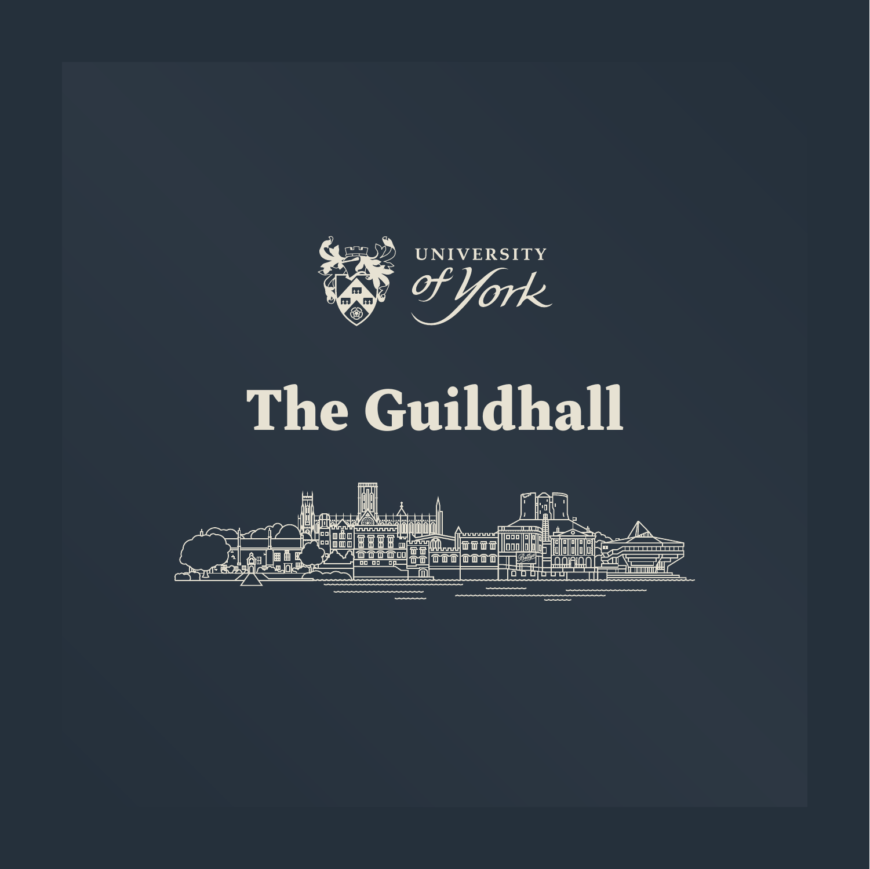

## The Guildhall

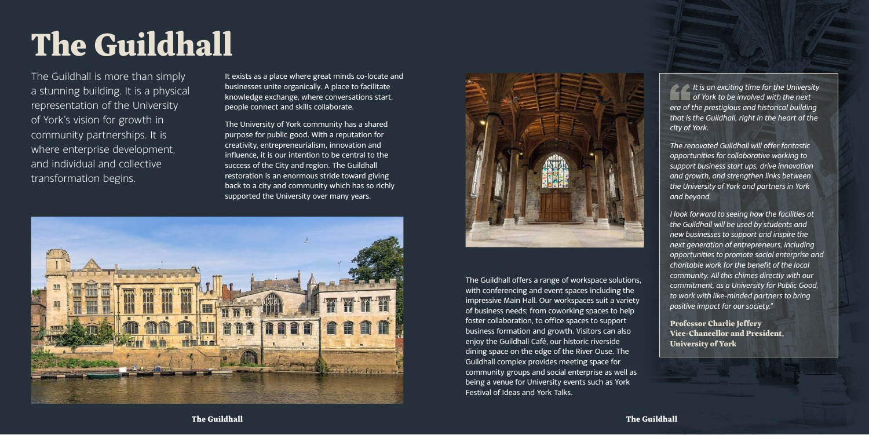## The Guildhall

The Guildhall is more than simply a stunning building. It is a physical representation of the University of York's vision for growth in community partnerships. It is where enterprise development, and individual and collective transformation begins.

It exists as a place where great minds co-locate and businesses unite organically. A place to facilitate knowledge exchange, where conversations start, people connect and skills collaborate.

The University of York community has a shared purpose for public good. With a reputation for creativity, entrepreneurialism, innovation and influence, it is our intention to be central to the success of the City and region. The Guildhall restoration is an enormous stride toward giving back to a city and community which has so richly supported the University over many years.





The Guildhall offers a range of workspace solutions, with conferencing and event spaces including the impressive Main Hall. Our workspaces suit a variety of business needs; from coworking spaces to help foster collaboration, to office spaces to support business formation and growth. Visitors can also enjoy the Guildhall Café, our historic riverside dining space on the edge of the River Ouse. The Guildhall complex provides meeting space for community groups and social enterprise as well as being a venue for University events such as York Festival of Ideas and York Talks.

*It is an exciting time for the University of York to be involved with the next era of the prestigious and historical building that is the Guildhall, right in the heart of the city of York.*

*The renovated Guildhall will offer fantastic opportunities for collaborative working to support business start ups, drive innovation and growth, and strengthen links between the University of York and partners in York and beyond.*

*I look forward to seeing how the facilities at the Guildhall will be used by students and new businesses to support and inspire the next generation of entrepreneurs, including opportunities to promote social enterprise and charitable work for the benefit of the local community. All this chimes directly with our commitment, as a University for Public Good, to work with like-minded partners to bring positive impact for our society."* 

Professor Charlie Jeffery Vice-Chancellor and President, University of York